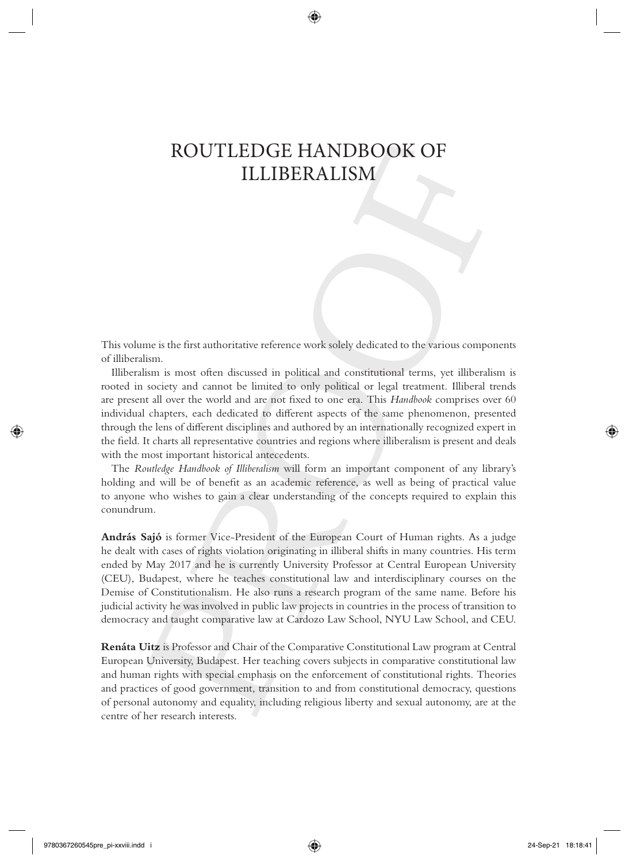### ROUTLEDGE HANDBOOK OF ILLIBERALISM

❀

This volume is the first authoritative reference work solely dedicated to the various components of illiberalism.

Illiberalism is most often discussed in political and constitutional terms, yet illiberalism is rooted in society and cannot be limited to only political or legal treatment. Illiberal trends are present all over the world and are not fixed to one era. This *Handbook* comprises over 60 individual chapters, each dedicated to different aspects of the same phenomenon, presented through the lens of different disciplines and authored by an internationally recognized expert in the field. It charts all representative countries and regions where illiberalism is present and deals with the most important historical antecedents.

The *Routledge Handbook of Illiberalism* will form an important component of any library's holding and will be of benefit as an academic reference, as well as being of practical value to anyone who wishes to gain a clear understanding of the concepts required to explain this conundrum.

András Sajó is former Vice-President of the European Court of Human rights. As a judge he dealt with cases of rights violation originating in illiberal shifts in many countries. His term ended by May 2017 and he is currently University Professor at Central European University (CEU), Budapest, where he teaches constitutional law and interdisciplinary courses on the Demise of Constitutionalism. He also runs a research program of the same name. Before his judicial activity he was involved in public law projects in countries in the process of transition to democracy and taught comparative law at Cardozo Law School, NYU Law School, and CEU.

**Renáta Uitz** is Professor and Chair of the Comparative Constitutional Law program at Central European University, Budapest. Her teaching covers subjects in comparative constitutional law and human rights with special emphasis on the enforcement of constitutional rights. Theories and practices of good government, transition to and from constitutional democracy, questions of personal autonomy and equality, including religious liberty and sexual autonomy, are at the centre of her research interests.

</del>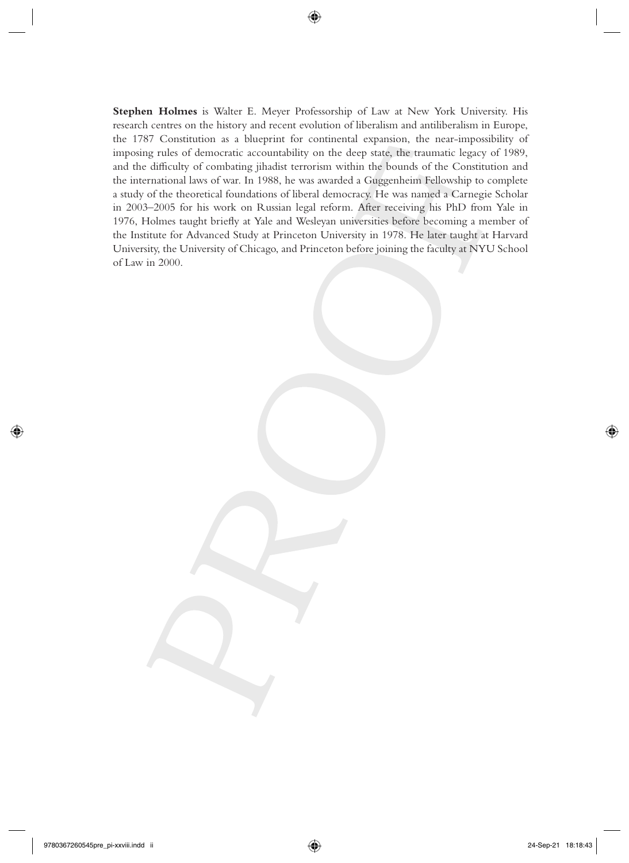◈

**Stephen Holmes** is Walter E. Meyer Professorship of Law at New York University. His research centres on the history and recent evolution of liberalism and antiliberalism in Europe, the 1787 Constitution as a blueprint for continental expansion, the near-impossibility of imposing rules of democratic accountability on the deep state, the traumatic legacy of 1989, and the difficulty of combating jihadist terrorism within the bounds of the Constitution and the international laws of war. In 1988, he was awarded a Guggenheim Fellowship to complete a study of the theoretical foundations of liberal democracy. He was named a Carnegie Scholar in 2003– 2005 for his work on Russian legal reform. After receiving his PhD from Yale in 1976, Holmes taught briefly at Yale and Wesleyan universities before becoming a member of the Institute for Advanced Study at Princeton University in 1978. He later taught at Harvard University, the University of Chicago, and Princeton before joining the faculty at NYU School of Law in 2000.

◈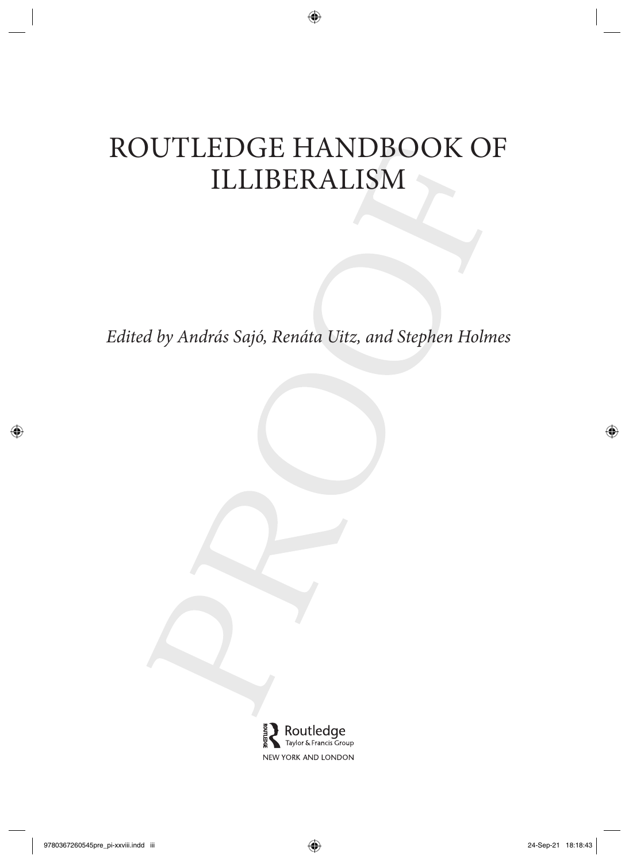# ROUTLEDGE HANDBOOK OF ILLIBERALISM

◈

Edited by András Sajó, Renáta Uitz, and Stephen Holmes



◈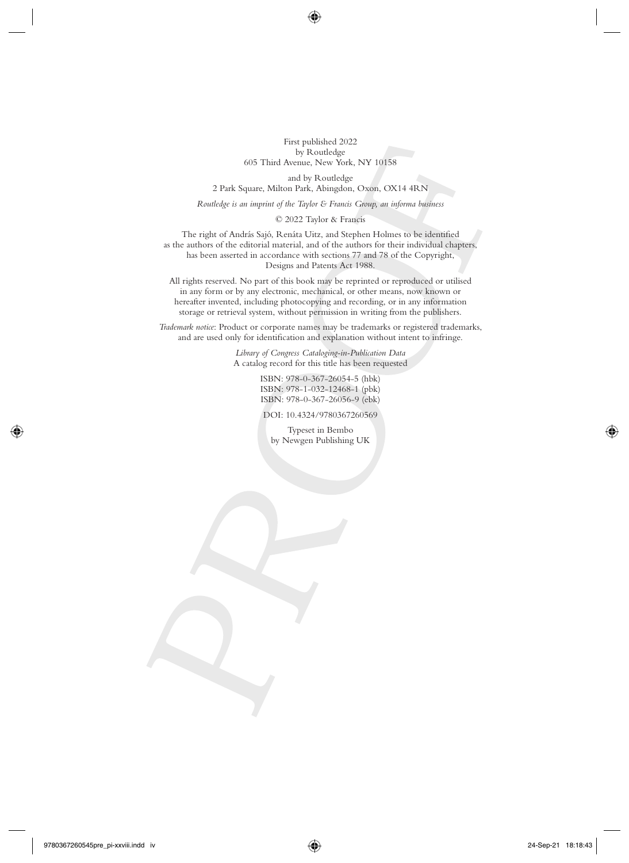◈

#### First published 2022 by Routledge 605 Third Avenue, New York, NY 10158

 and by Routledge 2 Park Square, Milton Park, Abingdon, Oxon, OX14 4RN

*Routledge is an imprint of the Taylor & Francis Group, an informa business*

© 2022 Taylor & Francis

The right of András Sajó, Renáta Uitz, and Stephen Holmes to be identified as the authors of the editorial material, and of the authors for their individual chapters, has been asserted in accordance with sections 77 and 78 of the Copyright, Designs and Patents Act 1988.

 All rights reserved. No part of this book may be reprinted or reproduced or utilised in any form or by any electronic, mechanical, or other means, now known or hereafter invented, including photocopying and recording, or in any information storage or retrieval system, without permission in writing from the publishers.

*Trademark notice*: Product or corporate names may be trademarks or registered trademarks, and are used only for identification and explanation without intent to infringe.

> *Library of Congress Cataloging- in- Publication Data* A catalog record for this title has been requested

> > ISBN: 978-0-367-26054-5 (hbk) ISBN: 978-1-032-12468-1 (pbk) ISBN: 978-0-367-26056-9 (ebk)

DOI: 10.4324/9780367260569

 Typeset in Bembo by Newgen Publishing UK

◈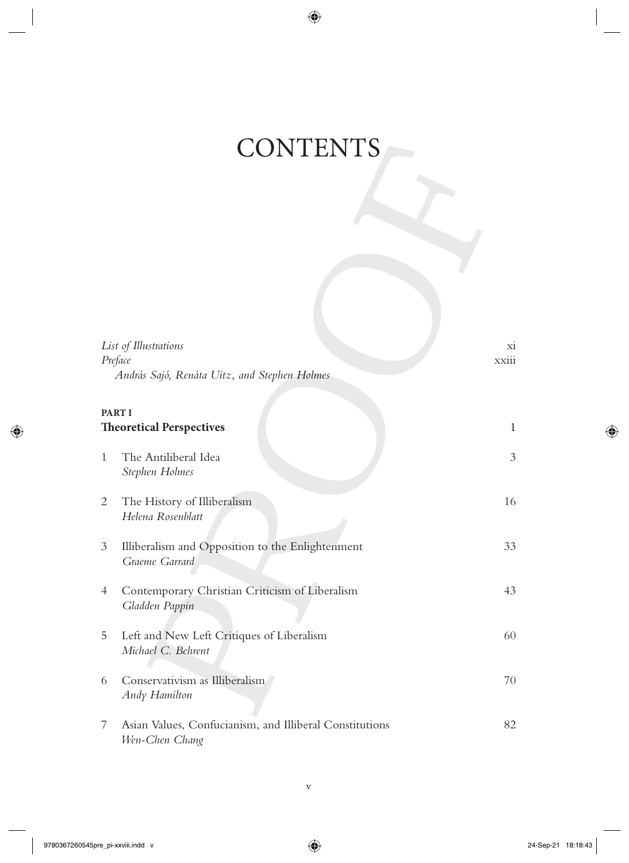# CONTENTS

 $\bigoplus$ 

| Preface                                          | List of Illustrations<br>András Sajó, Renáta Uitz, and Stephen Holmes     | X1<br><b>XX111</b> |
|--------------------------------------------------|---------------------------------------------------------------------------|--------------------|
| <b>PART I</b><br><b>Theoretical Perspectives</b> |                                                                           |                    |
| $\mathbf{1}$                                     | The Antiliberal Idea<br>Stephen Holmes                                    | 3                  |
| 2                                                | The History of Illiberalism<br>Helena Rosenblatt                          | 16                 |
| 3                                                | Illiberalism and Opposition to the Enlightenment<br>Graeme Garrard        | 33                 |
| 4                                                | Contemporary Christian Criticism of Liberalism<br>Gladden Pappin          | 43                 |
| 5                                                | Left and New Left Critiques of Liberalism<br>Michael C. Behrent           | 60                 |
| 6                                                | Conservativism as Illiberalism<br>Andy Hamilton                           | 70                 |
| 7                                                | Asian Values, Confucianism, and Illiberal Constitutions<br>Wen-Chen Chang | 82                 |

 $\bigcirc$ 

 $\bigoplus$ 

v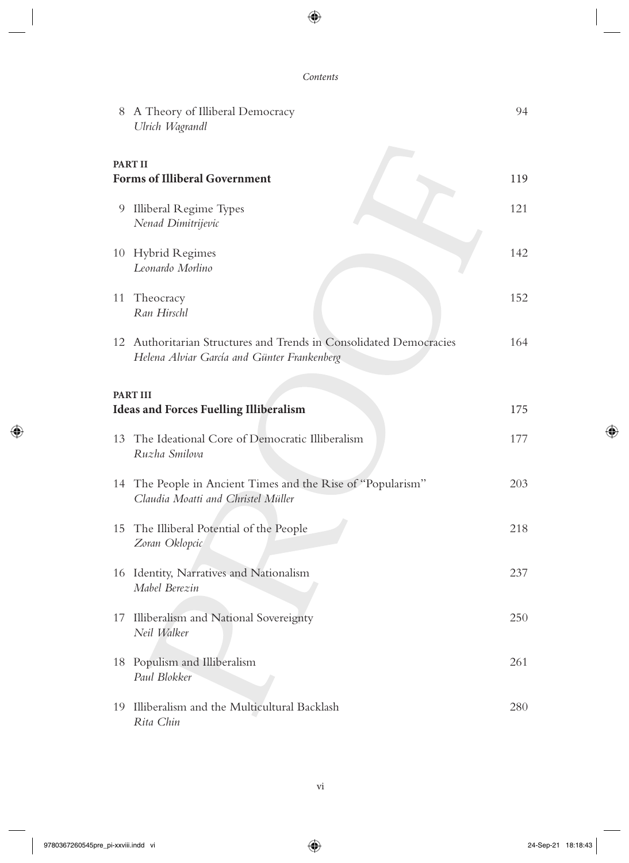| Contents                                      |                                                                                                                   |     |
|-----------------------------------------------|-------------------------------------------------------------------------------------------------------------------|-----|
|                                               | 8 A Theory of Illiberal Democracy<br>Ulrich Wagrandl                                                              | 94  |
|                                               | <b>PART II</b><br><b>Forms of Illiberal Government</b>                                                            | 119 |
| 9                                             | Illiberal Regime Types<br>Nenad Dimitrijevic                                                                      | 121 |
|                                               | 10 Hybrid Regimes<br>Leonardo Morlino                                                                             | 142 |
| 11                                            | Theocracy<br>Ran Hirschl                                                                                          | 152 |
|                                               | 12 Authoritarian Structures and Trends in Consolidated Democracies<br>Helena Alviar García and Günter Frankenberg | 164 |
|                                               | <b>PART III</b>                                                                                                   |     |
| <b>Ideas and Forces Fuelling Illiberalism</b> |                                                                                                                   | 175 |
| 13                                            | The Ideational Core of Democratic Illiberalism<br>Ruzha Smilova                                                   | 177 |
|                                               | 14 The People in Ancient Times and the Rise of "Popularism"<br>Claudia Moatti and Christel Müller                 | 203 |
| 15                                            | The Illiberal Potential of the People<br>Zoran Oklopcic                                                           | 218 |
|                                               | 16 Identity, Narratives and Nationalism<br>Mabel Berezin                                                          | 237 |
| 17                                            | Illiberalism and National Sovereignty<br>Neil Walker                                                              | 250 |
|                                               | 18 Populism and Illiberalism<br>Paul Blokker                                                                      | 261 |
| 19                                            | Illiberalism and the Multicultural Backlash<br>Rita Chin                                                          | 280 |

 $\bigcirc$ 

 $\bigoplus$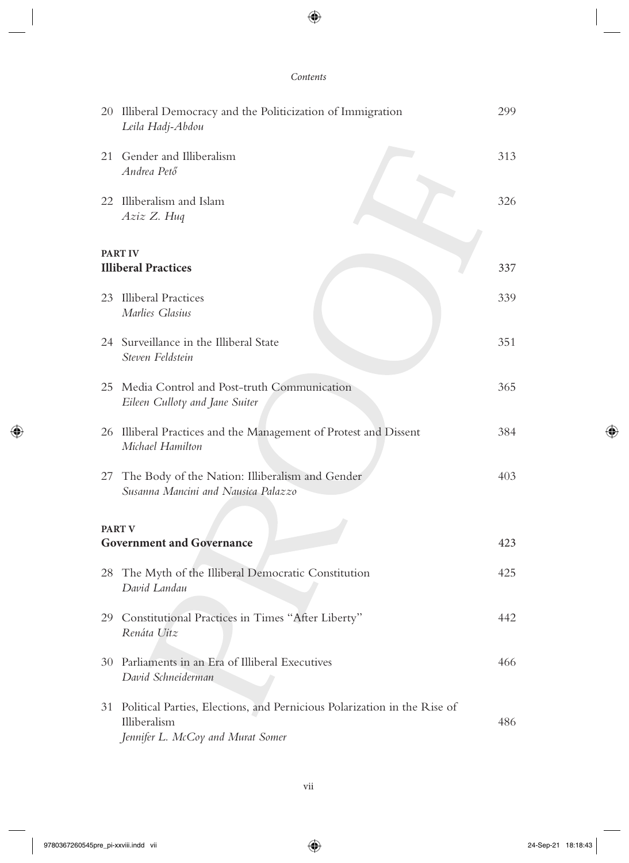$\bigcirc$ 

|    | 20 Illiberal Democracy and the Politicization of Immigration<br>Leila Hadj-Abdou                                              | 299 |
|----|-------------------------------------------------------------------------------------------------------------------------------|-----|
| 21 | Gender and Illiberalism<br>Andrea Pető                                                                                        | 313 |
|    | 22 Illiberalism and Islam<br>Aziz Z. Huq                                                                                      | 326 |
|    | <b>PART IV</b>                                                                                                                |     |
|    | <b>Illiberal Practices</b>                                                                                                    | 337 |
|    | 23 Illiberal Practices<br>Marlies Glasius                                                                                     | 339 |
|    | 24 Surveillance in the Illiberal State<br>Steven Feldstein                                                                    | 351 |
| 25 | Media Control and Post-truth Communication<br>Eileen Culloty and Jane Suiter                                                  | 365 |
|    | 26 Illiberal Practices and the Management of Protest and Dissent<br>Michael Hamilton                                          | 384 |
| 27 | The Body of the Nation: Illiberalism and Gender<br>Susanna Mancini and Nausica Palazzo                                        | 403 |
|    |                                                                                                                               |     |
|    | <b>PART V</b><br><b>Government and Governance</b>                                                                             | 423 |
|    |                                                                                                                               |     |
|    | 28 The Myth of the Illiberal Democratic Constitution<br>David Landau                                                          | 425 |
|    | 29 Constitutional Practices in Times "After Liberty"<br>Renáta Uitz                                                           | 442 |
| 30 | Parliaments in an Era of Illiberal Executives<br>David Schneiderman                                                           | 466 |
| 31 | Political Parties, Elections, and Pernicious Polarization in the Rise of<br>Illiberalism<br>Jennifer L. McCoy and Murat Somer | 486 |

 $\bigcirc$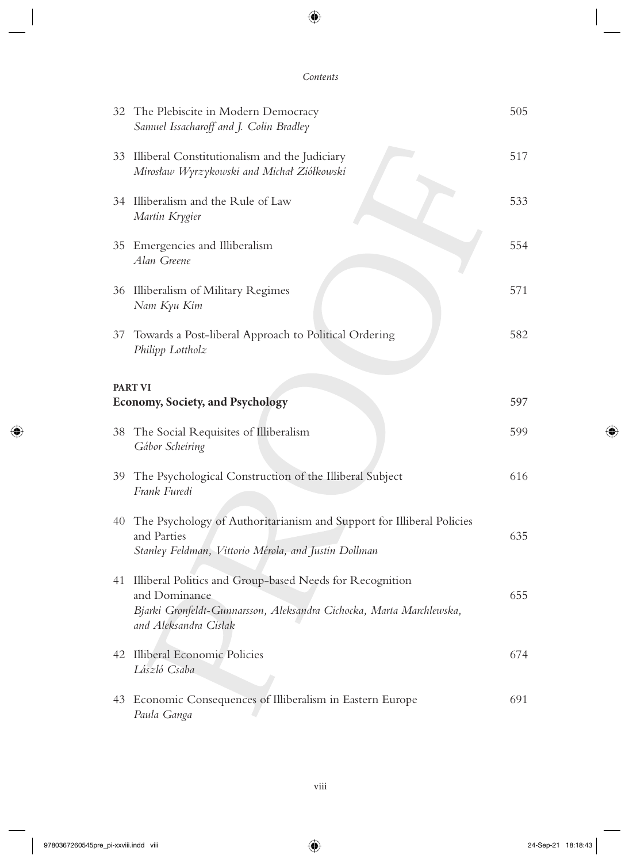$\bigoplus$ 

|    | 32 The Plebiscite in Modern Democracy<br>Samuel Issacharoff and J. Colin Bradley                                                                                           | 505  |
|----|----------------------------------------------------------------------------------------------------------------------------------------------------------------------------|------|
|    | 33 Illiberal Constitutionalism and the Judiciary<br>Mirosław Wyrzykowski and Michał Ziółkowski                                                                             | 517  |
|    | 34 Illiberalism and the Rule of Law<br>Martin Krygier                                                                                                                      | 533  |
|    | 35 Emergencies and Illiberalism<br>Alan Greene                                                                                                                             | 554  |
|    | 36 Illiberalism of Military Regimes<br>Nam Kyu Kim                                                                                                                         | 571  |
| 37 | Towards a Post-liberal Approach to Political Ordering<br>Philipp Lottholz                                                                                                  | 582  |
|    | <b>PART VI</b>                                                                                                                                                             |      |
|    | <b>Economy, Society, and Psychology</b>                                                                                                                                    | 597  |
|    | 38 The Social Requisites of Illiberalism<br>Gábor Scheiring                                                                                                                | 599  |
| 39 | The Psychological Construction of the Illiberal Subject<br>Frank Furedi                                                                                                    | 616  |
| 40 | The Psychology of Authoritarianism and Support for Illiberal Policies<br>and Parties<br>Stanley Feldman, Vittorio Mérola, and Justin Dollman                               | 635  |
| 41 | Illiberal Politics and Group-based Needs for Recognition<br>and Dominance<br>Bjarki Gronfeldt-Gunnarsson, Aleksandra Cichocka, Marta Marchlewska,<br>and Aleksandra Cislak | 655  |
| 42 | Illiberal Economic Policies<br>László Csaba                                                                                                                                | 674. |
|    | 43 Economic Consequences of Illiberalism in Eastern Europe<br>Paula Ganga                                                                                                  | 691  |

 $\bigcirc$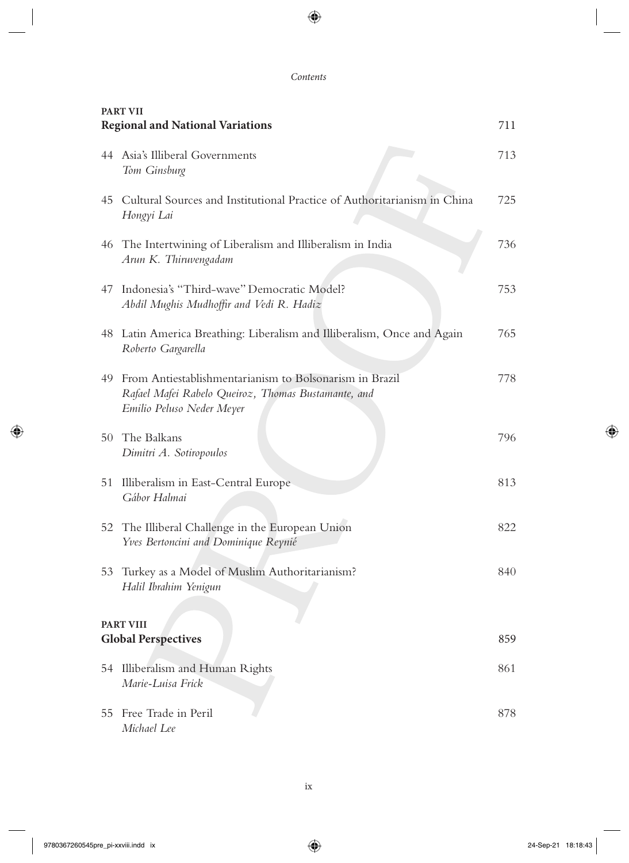$\bigcirc$ 

| <b>PART VII</b><br><b>Regional and National Variations</b> |                                                                                                                                                |     |
|------------------------------------------------------------|------------------------------------------------------------------------------------------------------------------------------------------------|-----|
|                                                            | 44 Asia's Illiberal Governments<br>Tom Ginsburg                                                                                                | 713 |
|                                                            | 45 Cultural Sources and Institutional Practice of Authoritarianism in China<br>Hongyi Lai                                                      | 725 |
|                                                            | 46 The Intertwining of Liberalism and Illiberalism in India<br>Arun K. Thiruvengadam                                                           | 736 |
| 47                                                         | Indonesia's "Third-wave" Democratic Model?<br>Abdil Mughis Mudhoffir and Vedi R. Hadiz                                                         | 753 |
|                                                            | 48 Latin America Breathing: Liberalism and Illiberalism, Once and Again<br>Roberto Gargarella                                                  | 765 |
|                                                            | 49 From Antiestablishmentarianism to Bolsonarism in Brazil<br>Rafael Mafei Rabelo Queiroz, Thomas Bustamante, and<br>Emilio Peluso Neder Meyer | 778 |
|                                                            | 50 The Balkans<br>Dimitri A. Sotiropoulos                                                                                                      | 796 |
|                                                            | 51 Illiberalism in East-Central Europe<br>Gábor Halmai                                                                                         | 813 |
|                                                            | 52 The Illiberal Challenge in the European Union<br>Yves Bertoncini and Dominique Reynié                                                       | 822 |
| 53                                                         | Turkey as a Model of Muslim Authoritarianism?<br>Halil Ibrahim Yenigun                                                                         | 840 |
|                                                            | <b>PART VIII</b>                                                                                                                               |     |
| <b>Global Perspectives</b>                                 |                                                                                                                                                | 859 |
| 54                                                         | Illiberalism and Human Rights<br>Marie-Luisa Frick                                                                                             | 861 |
| 55                                                         | Free Trade in Peril<br>Michael Lee                                                                                                             | 878 |

 $\bigcirc$ 

 $\bigoplus$ 

ix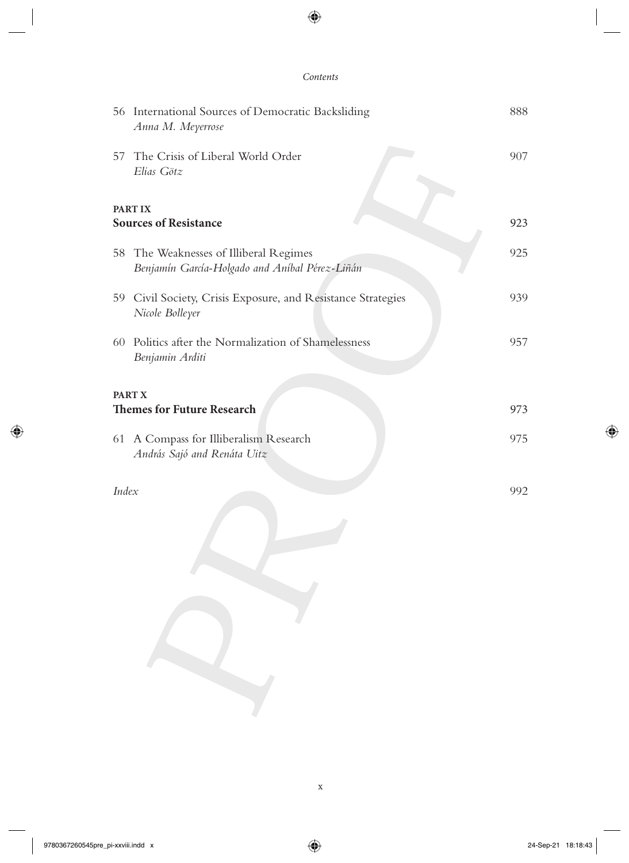$\bigoplus$ 

|       | 56 International Sources of Democratic Backsliding<br>Anna M. Meyerrose      | 888 |
|-------|------------------------------------------------------------------------------|-----|
| 57    | The Crisis of Liberal World Order<br>Elias Götz                              | 907 |
|       | PART IX                                                                      |     |
|       | <b>Sources of Resistance</b>                                                 | 923 |
| 58    | The Weaknesses of Illiberal Regimes                                          | 925 |
|       | Benjamín García-Holgado and Aníbal Pérez-Liñán                               |     |
| 59    | Civil Society, Crisis Exposure, and Resistance Strategies<br>Nicole Bolleyer | 939 |
| 60    | Politics after the Normalization of Shamelessness<br>Benjamin Arditi         | 957 |
|       |                                                                              |     |
|       | <b>PART X</b>                                                                |     |
|       | <b>Themes for Future Research</b>                                            | 973 |
|       | 61 A Compass for Illiberalism Research                                       | 975 |
|       | András Sajó and Renáta Uitz                                                  |     |
| Index |                                                                              | 992 |
|       |                                                                              |     |

 $\bigcirc$ 

 $\bigoplus$ 

x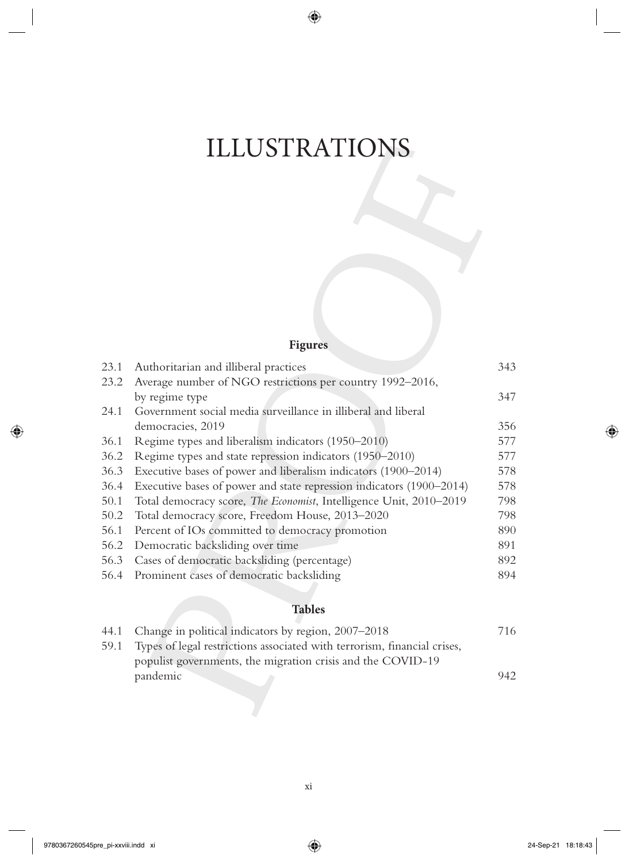# ILLUSTRATIONS

 $\bigoplus$ 

| п<br>ш<br>п |
|-------------|
|             |

| 23.1 | Authoritarian and illiberal practices                                | 343  |
|------|----------------------------------------------------------------------|------|
| 23.2 | Average number of NGO restrictions per country 1992-2016,            |      |
|      | by regime type                                                       | 347  |
| 24.1 | Government social media surveillance in illiberal and liberal        |      |
|      | democracies, 2019                                                    | 356  |
| 36.1 | Regime types and liberalism indicators (1950–2010)                   | 577  |
| 36.2 | Regime types and state repression indicators (1950–2010)             | 577  |
| 36.3 | Executive bases of power and liberalism indicators (1900–2014)       | 578. |
| 36.4 | Executive bases of power and state repression indicators (1900–2014) | 578  |
| 50.1 | Total democracy score, The Economist, Intelligence Unit, 2010-2019   | 798  |
| 50.2 | Total democracy score, Freedom House, 2013-2020                      | 798  |
| 56.1 | Percent of IOs committed to democracy promotion                      | 890  |
| 56.2 | Democratic backsliding over time                                     | 891  |
| 56.3 | Cases of democratic backsliding (percentage)                         | 892  |
|      | 56.4 Prominent cases of democratic backsliding                       | 894  |

### **Tables**

| 44.1 Change in political indicators by region, 2007–2018                      | 716. |
|-------------------------------------------------------------------------------|------|
| 59.1 Types of legal restrictions associated with terrorism, financial crises, |      |
| populist governments, the migration crisis and the COVID-19                   |      |
| pandemic                                                                      | 942. |
|                                                                               |      |

xi

 $\bigoplus$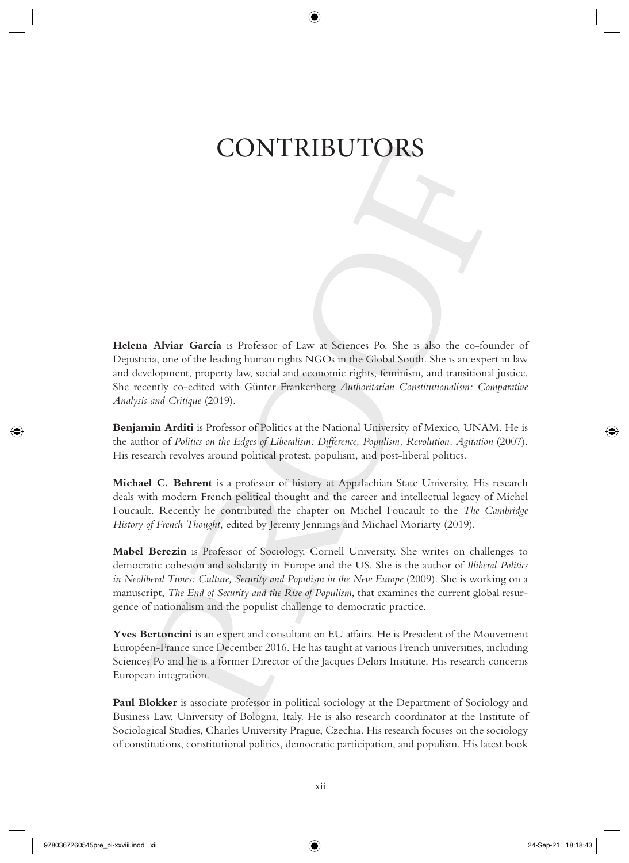# CONTRIBUTORS

◈

Helena Alviar García is Professor of Law at Sciences Po. She is also the co-founder of Dejusticia, one of the leading human rights NGOs in the Global South. She is an expert in law and development, property law, social and economic rights, feminism, and transitional justice. She recently co-edited with Günter Frankenberg Authoritarian Constitutionalism: Comparative *Analysis and Critique* (2019).

**Benjamin Arditi** is Professor of Politics at the National University of Mexico, UNAM. He is the author of *Politics on the Edges of Liberalism: Difference, Populism, Revolution, Agitation* (2007). His research revolves around political protest, populism, and post-liberal politics.

**Michael C. Behrent** is a professor of history at Appalachian State University. His research deals with modern French political thought and the career and intellectual legacy of Michel Foucault. Recently he contributed the chapter on Michel Foucault to the *The Cambridge History of French Thought*, edited by Jeremy Jennings and Michael Moriarty (2019).

**Mabel Berezin** is Professor of Sociology, Cornell University. She writes on challenges to democratic cohesion and solidarity in Europe and the US. She is the author of *Illiberal Politics in Neoliberal Times: Culture, Security and Populism in the New Europe* (2009). She is working on a manuscript, *The End of Security and the Rise of Populism*, that examines the current global resurgence of nationalism and the populist challenge to democratic practice.

Yves Bertoncini is an expert and consultant on EU affairs. He is President of the Mouvement Européen-France since December 2016. He has taught at various French universities, including Sciences Po and he is a former Director of the Jacques Delors Institute. His research concerns European integration.

**Paul Blokker** is associate professor in political sociology at the Department of Sociology and Business Law, University of Bologna, Italy. He is also research coordinator at the Institute of Sociological Studies, Charles University Prague, Czechia. His research focuses on the sociology of constitutions, constitutional politics, democratic participation, and populism. His latest book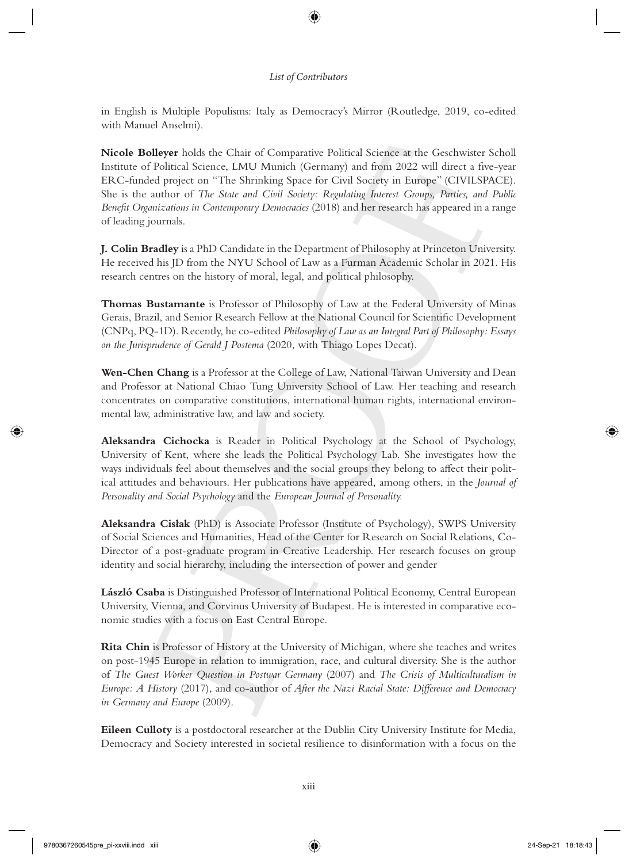❀

in English is Multiple Populisms: Italy as Democracy's Mirror (Routledge, 2019, co-edited with Manuel Anselmi).

**Nicole Bolleyer** holds the Chair of Comparative Political Science at the Geschwister Scholl Institute of Political Science, LMU Munich (Germany) and from 2022 will direct a five-year ERC- funded project on "The Shrinking Space for Civil Society in Europe" (CIVILSPACE). She is the author of *The State and Civil Society: Regulating Interest Groups, Parties, and Public Benefit Organizations in Contemporary Democracies* (2018) and her research has appeared in a range of leading journals.

**J. Colin Bradley** is a PhD Candidate in the Department of Philosophy at Princeton University. He received his JD from the NYU School of Law as a Furman Academic Scholar in 2021. His research centres on the history of moral, legal, and political philosophy.

**Thomas Bustamante** is Professor of Philosophy of Law at the Federal University of Minas Gerais, Brazil, and Senior Research Fellow at the National Council for Scientific Development (CNPq, PQ-1D). Recently, he co-edited *Philosophy of Law as an Integral Part of Philosophy: Essays on the Jurisprudence of Gerald J Postema* (2020, with Thiago Lopes Decat).

**Wen- Chen Chang** is a Professor at the College of Law, National Taiwan University and Dean and Professor at National Chiao Tung University School of Law. Her teaching and research concentrates on comparative constitutions, international human rights, international environmental law, administrative law, and law and society.

**Aleksandra Cichocka** is Reader in Political Psychology at the School of Psychology, University of Kent, where she leads the Political Psychology Lab. She investigates how the ways individuals feel about themselves and the social groups they belong to affect their political attitudes and behaviours. Her publications have appeared, among others, in the *Journal of Personality and Social Psychology* and the *European Journal of Personality.*

**Aleksandra Cisłak** (PhD) is Associate Professor (Institute of Psychology), SWPS University of Social Sciences and Humanities, Head of the Center for Research on Social Relations, Co-Director of a post-graduate program in Creative Leadership. Her research focuses on group identity and social hierarchy, including the intersection of power and gender

László Csaba is Distinguished Professor of International Political Economy, Central European University, Vienna, and Corvinus University of Budapest. He is interested in comparative economic studies with a focus on East Central Europe.

**Rita Chin** is Professor of History at the University of Michigan, where she teaches and writes on post- 1945 Europe in relation to immigration, race, and cultural diversity. She is the author of *The Guest Worker Question in Postwar Germany* (2007) and *The Crisis of Multiculturalism in Europe: A History* (2017), and co-author of *After the Nazi Racial State: Difference and Democracy in Germany and Europe* (2009).

**Eileen Culloty** is a postdoctoral researcher at the Dublin City University Institute for Media, Democracy and Society interested in societal resilience to disinformation with a focus on the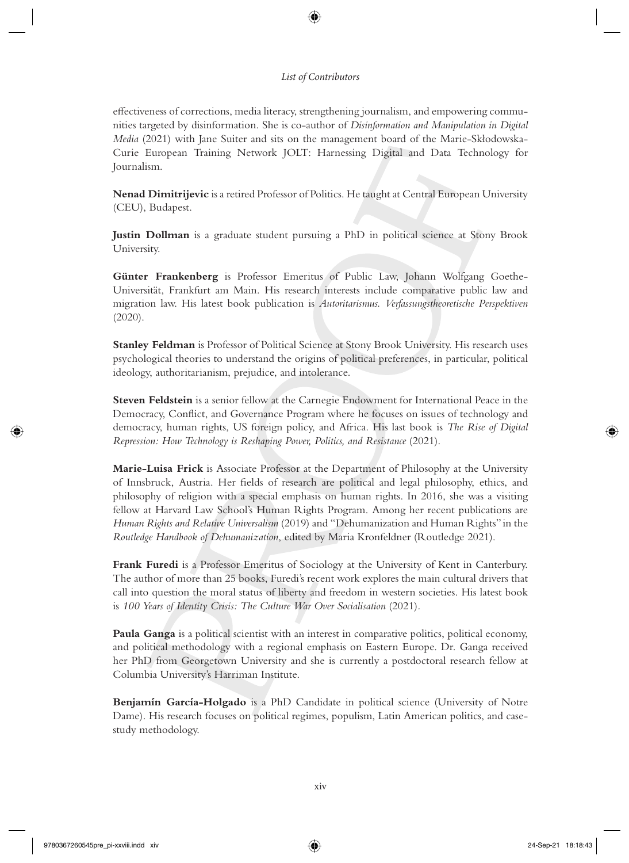◈

effectiveness of corrections, media literacy, strengthening journalism, and empowering communities targeted by disinformation. She is co- author of *Disinformation and Manipulation in Digital Media* (2021) with Jane Suiter and sits on the management board of the Marie-Skłodowska-Curie European Training Network JOLT: Harnessing Digital and Data Technology for Journalism.

**Nenad Dimitrijevic** is a retired Professor of Politics. He taught at Central European University (CEU), Budapest.

**Justin Dollman** is a graduate student pursuing a PhD in political science at Stony Brook University.

Günter Frankenberg is Professor Emeritus of Public Law, Johann Wolfgang Goethe-Universität, Frankfurt am Main. His research interests include comparative public law and migration law. His latest book publication is *Autoritarismus. Verfassungstheoretische Perspektiven* (2020).

**Stanley Feldman** is Professor of Political Science at Stony Brook University. His research uses psychological theories to understand the origins of political preferences, in particular, political ideology, authoritarianism, prejudice, and intolerance.

**Steven Feldstein** is a senior fellow at the Carnegie Endowment for International Peace in the Democracy, Conflict, and Governance Program where he focuses on issues of technology and democracy, human rights, US foreign policy, and Africa. His last book is *The Rise of Digital Repression: How Technology is Reshaping Power, Politics, and Resistance* (2021).

**Marie- Luisa Frick** is Associate Professor at the Department of Philosophy at the University of Innsbruck, Austria. Her fields of research are political and legal philosophy, ethics, and philosophy of religion with a special emphasis on human rights. In 2016, she was a visiting fellow at Harvard Law School's Human Rights Program. Among her recent publications are *Human Rights and Relative Universalism* (2019) and "Dehumanization and Human Rights" in the *Routledge Handbook of Dehumanization* , edited by Maria Kronfeldner (Routledge 2021).

**Frank Furedi** is a Professor Emeritus of Sociology at the University of Kent in Canterbury. The author of more than 25 books, Furedi's recent work explores the main cultural drivers that call into question the moral status of liberty and freedom in western societies. His latest book is *100 Years of Identity Crisis: The Culture War Over Socialisation* (2021) *.*

**Paula Ganga** is a political scientist with an interest in comparative politics, political economy, and political methodology with a regional emphasis on Eastern Europe. Dr. Ganga received her PhD from Georgetown University and she is currently a postdoctoral research fellow at Columbia University's Harriman Institute.

**Benjamín García-Holgado** is a PhD Candidate in political science (University of Notre Dame). His research focuses on political regimes, populism, Latin American politics, and casestudy methodology.

9780367260545pre\_pi-xxviii.indd xiv 780367260545pre\_pi-xxviii.indd xiv 780367260545pre\_pi-xxviii.indd xiv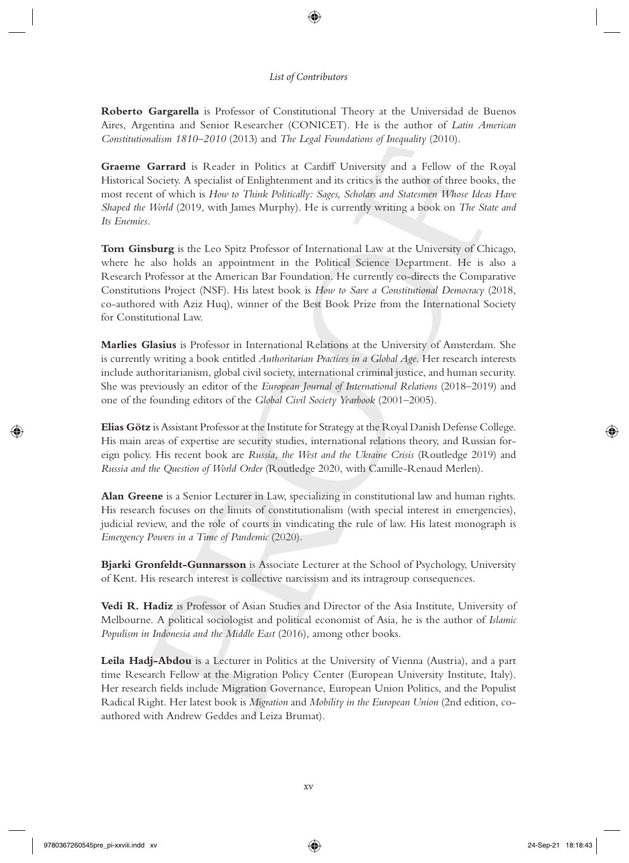❀

**Roberto Gargarella** is Professor of Constitutional Theory at the Universidad de Buenos Aires, Argentina and Senior Researcher (CONICET). He is the author of *Latin American Constitutionalism 1810– 2010* (2013) and *The Legal Foundations of Inequality* (2010).

**Graeme Garrard** is Reader in Politics at Cardiff University and a Fellow of the Royal Historical Society. A specialist of Enlightenment and its critics is the author of three books, the most recent of which is *How to Think Politically: Sages, Scholars and Statesmen Whose Ideas Have Shaped the World* (2019, with James Murphy). He is currently writing a book on *The State and Its Enemies* .

**Tom Ginsburg** is the Leo Spitz Professor of International Law at the University of Chicago, where he also holds an appointment in the Political Science Department. He is also a Research Professor at the American Bar Foundation. He currently co- directs the Comparative Constitutions Project (NSF). His latest book is *How to Save a Constitutional Democracy* (2018, co- authored with Aziz Huq), winner of the Best Book Prize from the International Society for Constitutional Law.

**Marlies Glasius** is Professor in International Relations at the University of Amsterdam. She is currently writing a book entitled *Authoritarian Practices in a Global Age*. Her research interests include authoritarianism, global civil society, international criminal justice, and human security. She was previously an editor of the *European Journal of International Relations* (2018–2019) and one of the founding editors of the *Global Civil Society Yearbook* (2001–2005).

**Elias G ö tz** is Assistant Professor at the Institute for Strategy at the Royal Danish Defense College. His main areas of expertise are security studies, international relations theory, and Russian foreign policy. His recent book are *Russia, the West and the Ukraine Crisis* (Routledge 2019) and *Russia and the Question of World Order* (Routledge 2020, with Camille-Renaud Merlen).

**Alan Greene** is a Senior Lecturer in Law, specializing in constitutional law and human rights. His research focuses on the limits of constitutionalism (with special interest in emergencies), judicial review, and the role of courts in vindicating the rule of law. His latest monograph is *Emergency Powers in a Time of Pandemic* (2020).

**Bjarki Gronfeldt- Gunnarsson** is Associate Lecturer at the School of Psychology, University of Kent. His research interest is collective narcissism and its intragroup consequences.

**Vedi R. Hadiz** is Professor of Asian Studies and Director of the Asia Institute, University of Melbourne. A political sociologist and political economist of Asia, he is the author of *Islamic Populism in Indonesia and the Middle East* (2016), among other books.

**Leila Hadj- Abdou** is a Lecturer in Politics at the University of Vienna (Austria), and a part time Research Fellow at the Migration Policy Center (European University Institute, Italy). Her research fields include Migration Governance, European Union Politics, and the Populist Radical Right. Her latest book is *Migration* and *Mobility in the European Union* (2nd edition, coauthored with Andrew Geddes and Leiza Brumat).

</del>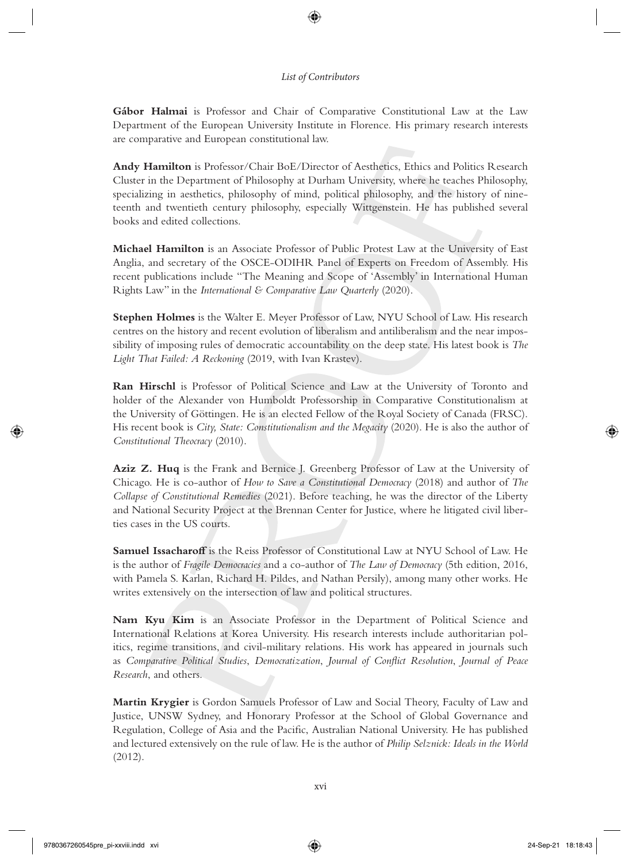◈

Gábor Halmai is Professor and Chair of Comparative Constitutional Law at the Law Department of the European University Institute in Florence. His primary research interests are comparative and European constitutional law.

**Andy Hamilton** is Professor/ Chair BoE/ Director of Aesthetics, Ethics and Politics Research Cluster in the Department of Philosophy at Durham University, where he teaches Philosophy, specializing in aesthetics, philosophy of mind, political philosophy, and the history of nineteenth and twentieth century philosophy, especially Wittgenstein. He has published several books and edited collections.

**Michael Hamilton** is an Associate Professor of Public Protest Law at the University of East Anglia, and secretary of the OSCE- ODIHR Panel of Experts on Freedom of Assembly. His recent publications include "The Meaning and Scope of 'Assembly' in International Human Rights Law" in the *International & Comparative Law Quarterly* (2020).

**Stephen Holmes** is the Walter E. Meyer Professor of Law, NYU School of Law. His research centres on the history and recent evolution of liberalism and antiliberalism and the near impossibility of imposing rules of democratic accountability on the deep state. His latest book is *The Light That Failed: A Reckoning* (2019, with Ivan Krastev).

**Ran Hirschl** is Professor of Political Science and Law at the University of Toronto and holder of the Alexander von Humboldt Professorship in Comparative Constitutionalism at the University of Göttingen. He is an elected Fellow of the Royal Society of Canada (FRSC). His recent book is *City, State: Constitutionalism and the Megacity* (2020). He is also the author of *Constitutional Theocracy* (2010).

**Aziz Z. Huq** is the Frank and Bernice J. Greenberg Professor of Law at the University of Chicago. He is co-author of *How to Save a Constitutional Democracy* (2018) and author of *The Collapse of Constitutional Remedies* (2021). Before teaching, he was the director of the Liberty and National Security Project at the Brennan Center for Justice, where he litigated civil liberties cases in the US courts.

**Samuel Issacharoff** is the Reiss Professor of Constitutional Law at NYU School of Law. He is the author of *Fragile Democracies* and a co-author of *The Law of Democracy* (5th edition, 2016, with Pamela S. Karlan, Richard H. Pildes, and Nathan Persily), among many other works. He writes extensively on the intersection of law and political structures.

**Nam Kyu Kim** is an Associate Professor in the Department of Political Science and International Relations at Korea University. His research interests include authoritarian politics, regime transitions, and civil- military relations. His work has appeared in journals such as *Comparative Political Studies*, *Democratization*, *Journal of Conflict Resolution*, *Journal of Peace Research* , and others.

**Martin Krygier** is Gordon Samuels Professor of Law and Social Theory, Faculty of Law and Justice, UNSW Sydney, and Honorary Professor at the School of Global Governance and Regulation, College of Asia and the Pacific, Australian National University. He has published and lectured extensively on the rule of law. He is the author of *Philip Selznick: Ideals in the World* (2012).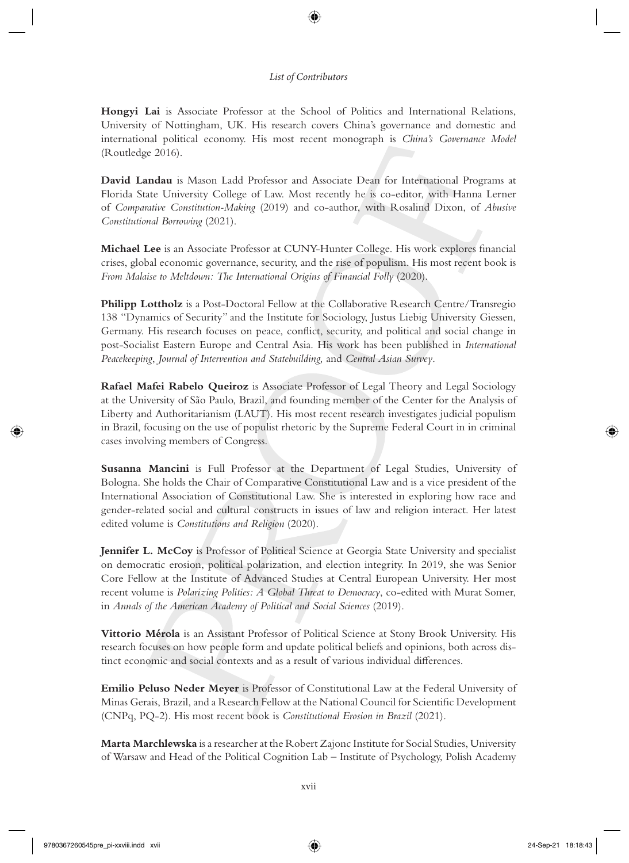❀

**Hongyi Lai** is Associate Professor at the School of Politics and International Relations, University of Nottingham, UK. His research covers China's governance and domestic and international political economy. His most recent monograph is *China's Governance Model* (Routledge 2016).

**David Landau** is Mason Ladd Professor and Associate Dean for International Programs at Florida State University College of Law. Most recently he is co- editor, with Hanna Lerner of *Comparative Constitution- Making* (2019) and co- author, with Rosalind Dixon, of *Abusive Constitutional Borrowing* (2021).

**Michael Lee** is an Associate Professor at CUNY-Hunter College. His work explores financial crises, global economic governance, security, and the rise of populism. His most recent book is *From Malaise to Meltdown: The International Origins of Financial Folly* (2020).

Philipp Lottholz is a Post-Doctoral Fellow at the Collaborative Research Centre/Transregio 138 "Dynamics of Security" and the Institute for Sociology, Justus Liebig University Giessen, Germany. His research focuses on peace, conflict, security, and political and social change in post- Socialist Eastern Europe and Central Asia. His work has been published in *International Peacekeeping* , *Journal of Intervention and Statebuilding,* and *Central Asian Survey* .

**Rafael Mafei Rabelo Queiroz** is Associate Professor of Legal Theory and Legal Sociology at the University of São Paulo, Brazil, and founding member of the Center for the Analysis of Liberty and Authoritarianism (LAUT). His most recent research investigates judicial populism in Brazil, focusing on the use of populist rhetoric by the Supreme Federal Court in in criminal cases involving members of Congress.

**Susanna Mancini** is Full Professor at the Department of Legal Studies, University of Bologna. She holds the Chair of Comparative Constitutional Law and is a vice president of the International Association of Constitutional Law. She is interested in exploring how race and gender- related social and cultural constructs in issues of law and religion interact. Her latest edited volume is *Constitutions and Religion* (2020).

**Jennifer L. McCoy** is Professor of Political Science at Georgia State University and specialist on democratic erosion, political polarization, and election integrity. In 2019, she was Senior Core Fellow at the Institute of Advanced Studies at Central European University. Her most recent volume is *Polarizing Polities: A Global Threat to Democracy*, co-edited with Murat Somer, in *Annals of the American Academy of Political and Social Sciences* (2019).

Vittorio Mérola is an Assistant Professor of Political Science at Stony Brook University. His research focuses on how people form and update political beliefs and opinions, both across distinct economic and social contexts and as a result of various individual differences.

**Emilio Peluso Neder Meyer** is Professor of Constitutional Law at the Federal University of Minas Gerais, Brazil, and a Research Fellow at the National Council for Scientific Development (CNPq, PQ-2). His most recent book is *Constitutional Erosion in Brazil* (2021).

**Marta Marchlewska** is a researcher at the Robert Zajonc Institute for Social Studies, University of Warsaw and Head of the Political Cognition Lab –Institute of Psychology, Polish Academy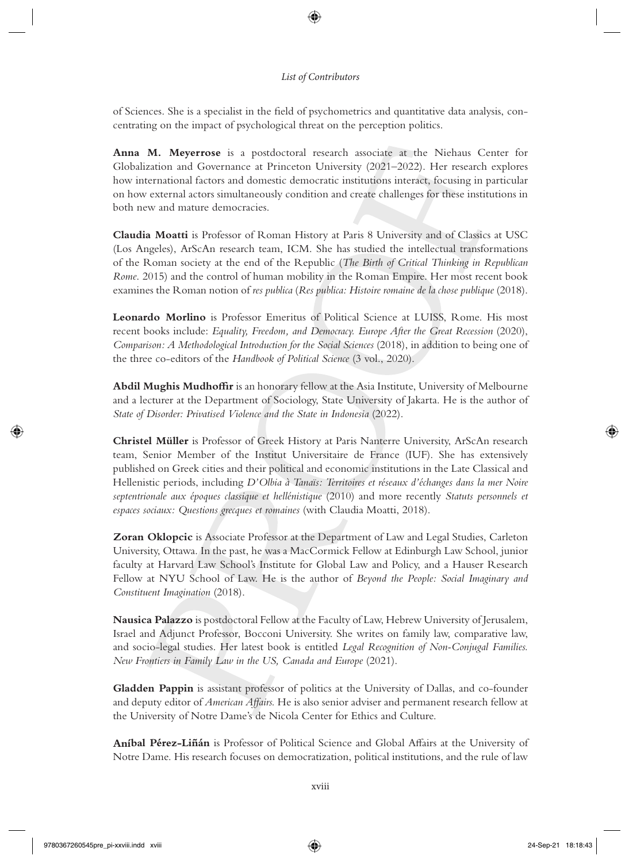↔

of Sciences. She is a specialist in the field of psychometrics and quantitative data analysis, concentrating on the impact of psychological threat on the perception politics.

**Anna M. Meyerrose** is a postdoctoral research associate at the Niehaus Center for Globalization and Governance at Princeton University (2021–2022). Her research explores how international factors and domestic democratic institutions interact, focusing in particular on how external actors simultaneously condition and create challenges for these institutions in both new and mature democracies.

**Claudia Moatti** is Professor of Roman History at Paris 8 University and of Classics at USC (Los Angeles), ArScAn research team, ICM. She has studied the intellectual transformations of the Roman society at the end of the Republic ( *The Birth of Critical Thinking in Republican Rome*. 2015) and the control of human mobility in the Roman Empire. Her most recent book examines the Roman notion of *res publica* ( *Res publica: Histoire romaine de la chose publique* (2018).

**Leonardo Morlino** is Professor Emeritus of Political Science at LUISS, Rome. His most recent books include: *Equality, Freedom, and Democracy. Europe After the Great Recession* (2020), *Comparison: A Methodological Introduction for the Social Sciences* (2018), in addition to being one of the three co- editors of the *Handbook of Political Science* (3 vol., 2020).

Abdil Mughis Mudhoffir is an honorary fellow at the Asia Institute, University of Melbourne and a lecturer at the Department of Sociology, State University of Jakarta. He is the author of *State of Disorder: Privatised Violence and the State in Indonesia* (2022).

**Christel M ü ller** is Professor of Greek History at Paris Nanterre University, ArScAn research team, Senior Member of the Institut Universitaire de France (IUF). She has extensively published on Greek cities and their political and economic institutions in the Late Classical and Hellenistic periods, including *D'Olbia à Tanaïs: Territoires et réseaux d'échanges dans la mer Noire septentrionale aux é poques classique et hell é nistique* (2010) and more recently *Statuts personnels et espaces sociaux: Questions grecques et romaines* (with Claudia Moatti, 2018).

**Zoran Oklopcic** is Associate Professor at the Department of Law and Legal Studies, Carleton University, Ottawa. In the past, he was a MacCormick Fellow at Edinburgh Law School, junior faculty at Harvard Law School's Institute for Global Law and Policy, and a Hauser Research Fellow at NYU School of Law. He is the author of *Beyond the People: Social Imaginary and Constituent Imagination* (2018).

**Nausica Palazzo** is postdoctoral Fellow at the Faculty of Law, Hebrew University of Jerusalem, Israel and Adjunct Professor, Bocconi University. She writes on family law, comparative law, and socio- legal studies. Her latest book is entitled *Legal Recognition of Non- Conjugal Families. New Frontiers in Family Law in the US, Canada and Europe* (2021).

**Gladden Pappin** is assistant professor of politics at the University of Dallas, and co-founder and deputy editor of *American Affairs*. He is also senior adviser and permanent research fellow at the University of Notre Dame's de Nicola Center for Ethics and Culture.

Aníbal Pérez-Liñán is Professor of Political Science and Global Affairs at the University of Notre Dame. His research focuses on democratization, political institutions, and the rule of law

xviii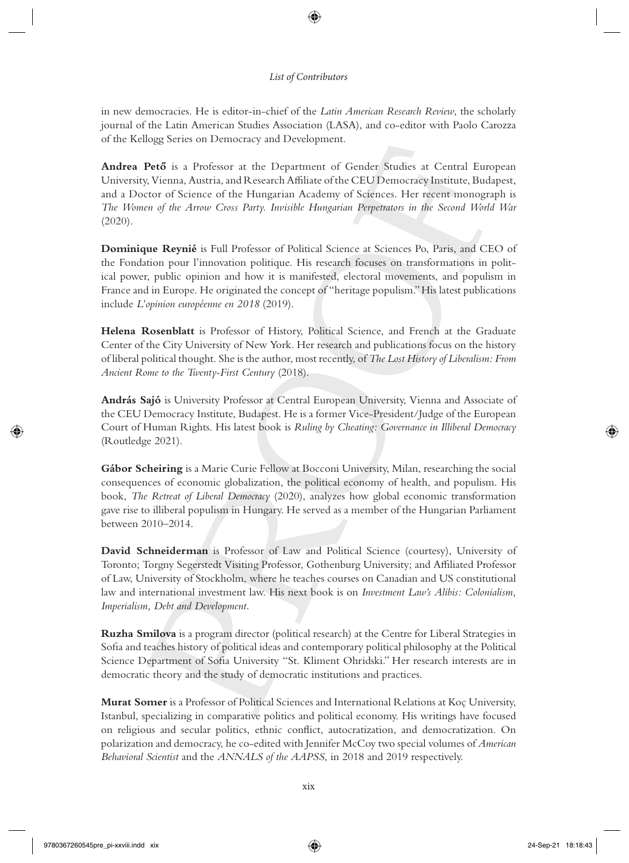#### ❀

#### *List of Contributors*

in new democracies. He is editor-in-chief of the *Latin American Research Review*, the scholarly journal of the Latin American Studies Association (LASA), and co-editor with Paolo Carozza of the Kellogg Series on Democracy and Development.

Andrea Pető is a Professor at the Department of Gender Studies at Central European University, Vienna, Austria, and Research Affiliate of the CEU Democracy Institute, Budapest, and a Doctor of Science of the Hungarian Academy of Sciences. Her recent monograph is *The Women of the Arrow Cross Party. Invisible Hungarian Perpetrators in the Second World War* (2020).

**Dominique Reynié** is Full Professor of Political Science at Sciences Po, Paris, and CEO of the Fondation pour l'innovation politique. His research focuses on transformations in political power, public opinion and how it is manifested, electoral movements, and populism in France and in Europe. He originated the concept of "heritage populism." His latest publications include *L'opinion européenne en 2018 (2019)*.

**Helena Rosenblatt** is Professor of History, Political Science, and French at the Graduate Center of the City University of New York. Her research and publications focus on the history of liberal political thought. She is the author, most recently, of *The Lost History of Liberalism: From Ancient Rome to the Twenty- First Century* (2018).

**András Sajó** is University Professor at Central European University, Vienna and Associate of the CEU Democracy Institute, Budapest. He is a former Vice- President/ Judge of the European Court of Human Rights. His latest book is *Ruling by Cheating: Governance in Illiberal Democracy* (Routledge 2021).

Gábor Scheiring is a Marie Curie Fellow at Bocconi University, Milan, researching the social consequences of economic globalization, the political economy of health, and populism. His book, *The Retreat of Liberal Democracy* (2020), analyzes how global economic transformation gave rise to illiberal populism in Hungary. He served as a member of the Hungarian Parliament between 2010-2014.

**David Schneiderman** is Professor of Law and Political Science (courtesy), University of Toronto; Torgny Segerstedt Visiting Professor, Gothenburg University; and Affiliated Professor of Law, University of Stockholm, where he teaches courses on Canadian and US constitutional law and international investment law. His next book is on *Investment Law's Alibis: Colonialism, Imperialism, Debt and Development.* 

**Ruzha Smilova** is a program director (political research) at the Centre for Liberal Strategies in Sofia and teaches history of political ideas and contemporary political philosophy at the Political Science Department of Sofia University "St. Kliment Ohridski." Her research interests are in democratic theory and the study of democratic institutions and practices.

Murat Somer is a Professor of Political Sciences and International Relations at Koç University, Istanbul, specializing in comparative politics and political economy. His writings have focused on religious and secular politics, ethnic conflict, autocratization, and democratization. On polarization and democracy, he co- edited with Jennifer McCoy two special volumes of *American Behavioral Scientist* and the *ANNALS of the AAPSS* , in 2018 and 2019 respectively.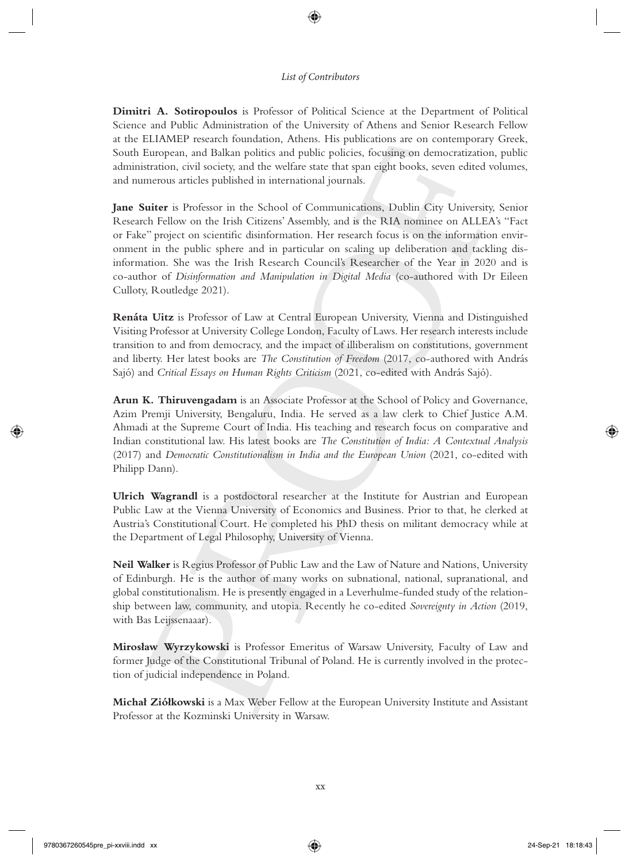◈

**Dimitri A. Sotiropoulos** is Professor of Political Science at the Department of Political Science and Public Administration of the University of Athens and Senior Research Fellow at the ELIAMEP research foundation, Athens. His publications are on contemporary Greek, South European, and Balkan politics and public policies, focusing on democratization, public administration, civil society, and the welfare state that span eight books, seven edited volumes, and numerous articles published in international journals.

**Jane Suiter** is Professor in the School of Communications, Dublin City University, Senior Research Fellow on the Irish Citizens' Assembly, and is the RIA nominee on ALLEA's "Fact or Fake" project on scientific disinformation. Her research focus is on the information environment in the public sphere and in particular on scaling up deliberation and tackling disinformation. She was the Irish Research Council's Researcher of the Year in 2020 and is co-author of *Disinformation and Manipulation in Digital Media* (co-authored with Dr Eileen Culloty, Routledge 2021).

**Renáta Uitz** is Professor of Law at Central European University, Vienna and Distinguished Visiting Professor at University College London, Faculty of Laws. Her research interests include transition to and from democracy, and the impact of illiberalism on constitutions, government and liberty. Her latest books are *The Constitution of Freedom* (2017, co-authored with András Sajó) and *Critical Essays on Human Rights Criticism* (2021, co-edited with András Sajó).

**Arun K. Thiruvengadam** is an Associate Professor at the School of Policy and Governance, Azim Premji University, Bengaluru, India. He served as a law clerk to Chief Justice A.M. Ahmadi at the Supreme Court of India. His teaching and research focus on comparative and Indian constitutional law. His latest books are *The Constitution of India: A Contextual Analysis* (2017) and *Democratic Constitutionalism in India and the European Union* (2021, co-edited with Philipp Dann).

**Ulrich Wagrandl** is a postdoctoral researcher at the Institute for Austrian and European Public Law at the Vienna University of Economics and Business. Prior to that, he clerked at Austria's Constitutional Court. He completed his PhD thesis on militant democracy while at the Department of Legal Philosophy, University of Vienna.

**Neil Walker** is Regius Professor of Public Law and the Law of Nature and Nations, University of Edinburgh. He is the author of many works on subnational, national, supranational, and global constitutionalism. He is presently engaged in a Leverhulme- funded study of the relationship between law, community, and utopia. Recently he co-edited *Sovereignty in Action* (2019, with Bas Leijssenaaar).

Mirosław Wyrzykowski is Professor Emeritus of Warsaw University, Faculty of Law and former Judge of the Constitutional Tribunal of Poland. He is currently involved in the protection of judicial independence in Poland.

Michał Ziółkowski is a Max Weber Fellow at the European University Institute and Assistant Professor at the Kozminski University in Warsaw.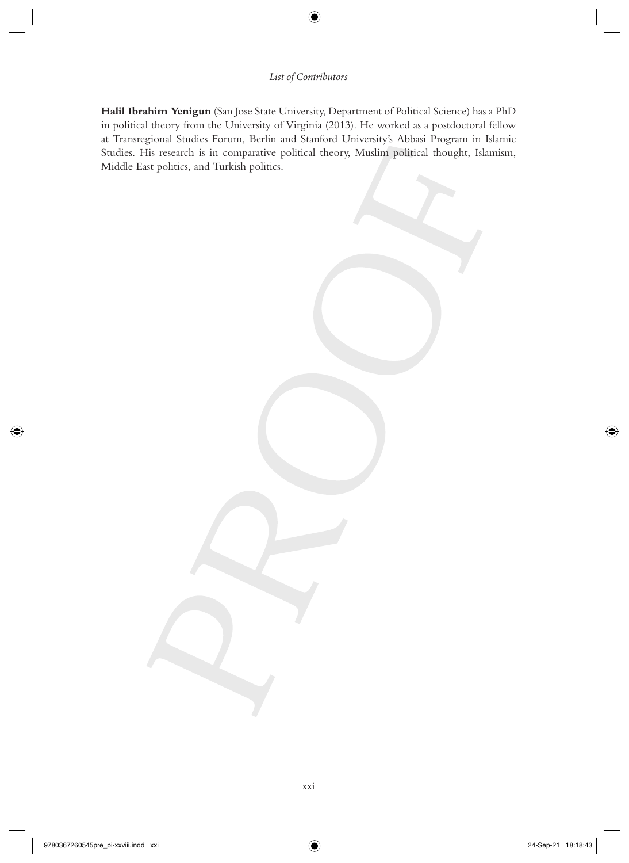

**Halil Ibrahim Yenigun** (San Jose State University, Department of Political Science) has a PhD in political theory from the University of Virginia (2013). He worked as a postdoctoral fellow at Transregional Studies Forum, Berlin and Stanford University's Abbasi Program in Islamic Studies. His research is in comparative political theory, Muslim political thought, Islamism, Middle East politics, and Turkish politics.

◈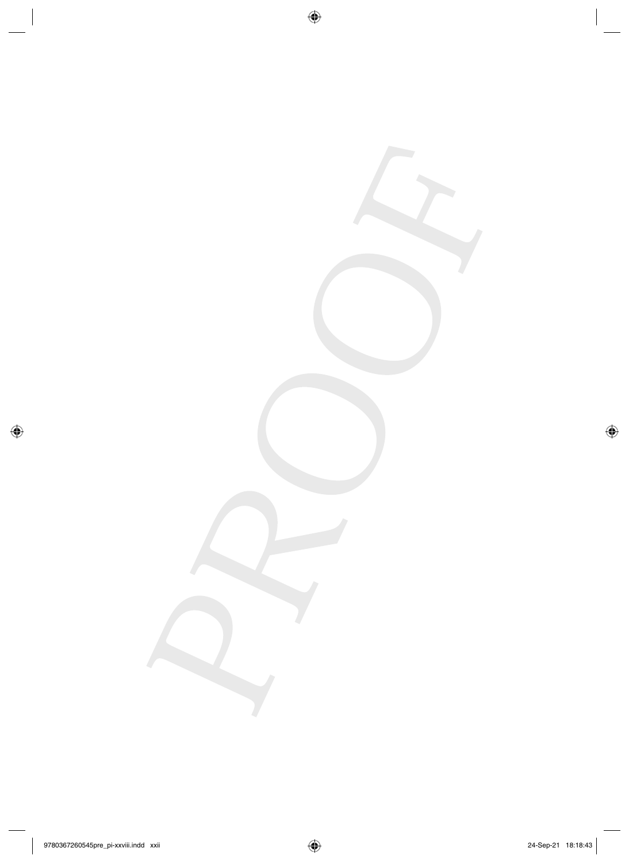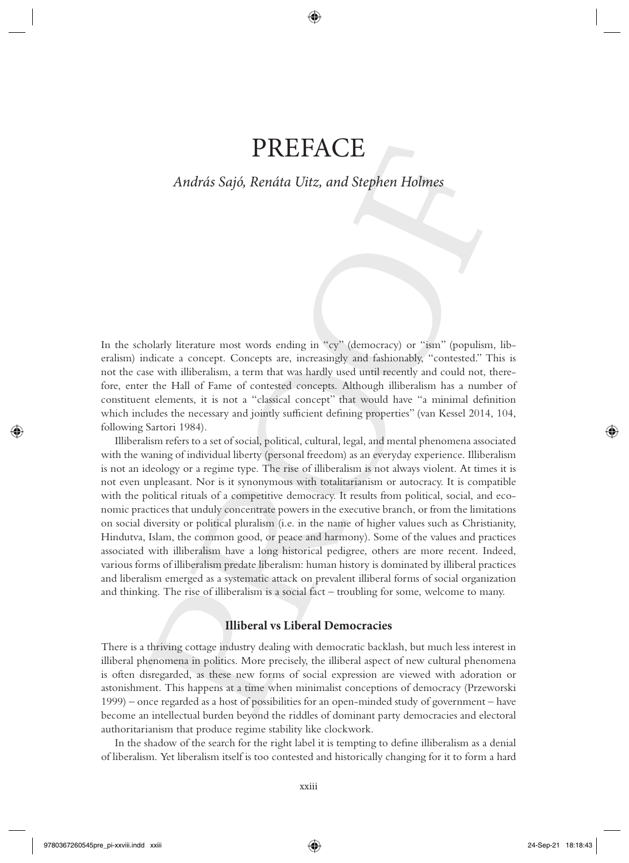## PREFACE

❀

 *Andr á s Saj ó , Ren á ta Uitz, and Stephen Holmes* 

In the scholarly literature most words ending in "cy" (democracy) or "ism" (populism, liberalism) indicate a concept. Concepts are, increasingly and fashionably, "contested." This is not the case with illiberalism, a term that was hardly used until recently and could not, therefore, enter the Hall of Fame of contested concepts. Although illiberalism has a number of constituent elements, it is not a "classical concept" that would have "a minimal definition which includes the necessary and jointly sufficient defining properties" (van Kessel 2014, 104, following Sartori 1984).

Illiberalism refers to a set of social, political, cultural, legal, and mental phenomena associated with the waning of individual liberty (personal freedom) as an everyday experience. Illiberalism is not an ideology or a regime type. The rise of illiberalism is not always violent. At times it is not even unpleasant. Nor is it synonymous with totalitarianism or autocracy. It is compatible with the political rituals of a competitive democracy. It results from political, social, and economic practices that unduly concentrate powers in the executive branch, or from the limitations on social diversity or political pluralism (i.e. in the name of higher values such as Christianity, Hindutva, Islam, the common good, or peace and harmony). Some of the values and practices associated with illiberalism have a long historical pedigree, others are more recent. Indeed, various forms of illiberalism predate liberalism: human history is dominated by illiberal practices and liberalism emerged as a systematic attack on prevalent illiberal forms of social organization and thinking. The rise of illiberalism is a social fact  $-$  troubling for some, welcome to many.

#### **Illiberal vs Liberal Democracies**

There is a thriving cottage industry dealing with democratic backlash, but much less interest in illiberal phenomena in politics. More precisely, the illiberal aspect of new cultural phenomena is often disregarded, as these new forms of social expression are viewed with adoration or astonishment. This happens at a time when minimalist conceptions of democracy (Przeworski 1999) – once regarded as a host of possibilities for an open-minded study of government – have become an intellectual burden beyond the riddles of dominant party democracies and electoral authoritarianism that produce regime stability like clockwork.

In the shadow of the search for the right label it is tempting to define illiberalism as a denial of liberalism. Yet liberalism itself is too contested and historically changing for it to form a hard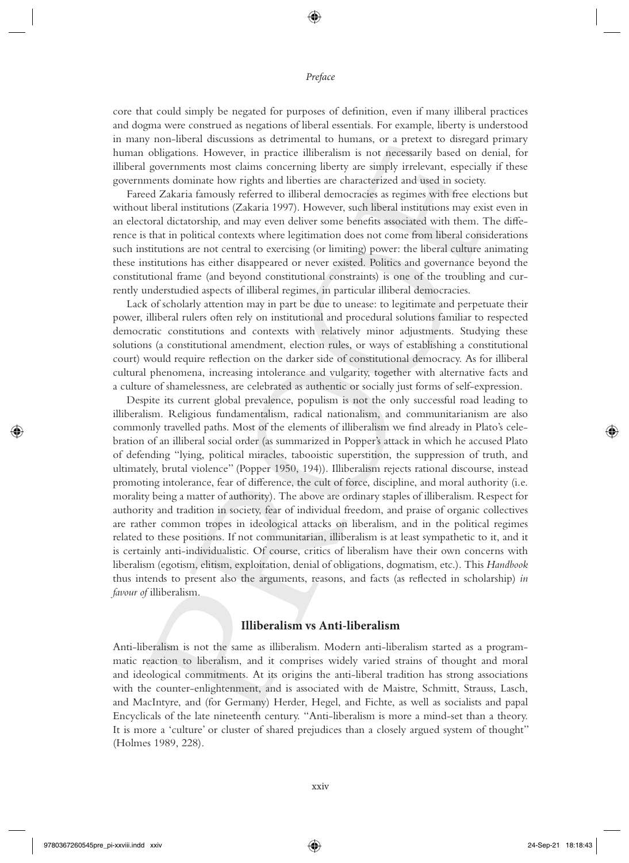↔

*Preface*

core that could simply be negated for purposes of definition, even if many illiberal practices and dogma were construed as negations of liberal essentials. For example, liberty is understood in many non-liberal discussions as detrimental to humans, or a pretext to disregard primary human obligations. However, in practice illiberalism is not necessarily based on denial, for illiberal governments most claims concerning liberty are simply irrelevant, especially if these governments dominate how rights and liberties are characterized and used in society.

Fareed Zakaria famously referred to illiberal democracies as regimes with free elections but without liberal institutions (Zakaria 1997). However, such liberal institutions may exist even in an electoral dictatorship, and may even deliver some benefits associated with them. The difference is that in political contexts where legitimation does not come from liberal considerations such institutions are not central to exercising (or limiting) power: the liberal culture animating these institutions has either disappeared or never existed. Politics and governance beyond the constitutional frame (and beyond constitutional constraints) is one of the troubling and currently understudied aspects of illiberal regimes, in particular illiberal democracies.

Lack of scholarly attention may in part be due to unease: to legitimate and perpetuate their power, illiberal rulers often rely on institutional and procedural solutions familiar to respected democratic constitutions and contexts with relatively minor adjustments. Studying these solutions (a constitutional amendment, election rules, or ways of establishing a constitutional court) would require reflection on the darker side of constitutional democracy. As for illiberal cultural phenomena, increasing intolerance and vulgarity, together with alternative facts and a culture of shamelessness, are celebrated as authentic or socially just forms of self- expression.

Despite its current global prevalence, populism is not the only successful road leading to illiberalism. Religious fundamentalism, radical nationalism, and communitarianism are also commonly travelled paths. Most of the elements of illiberalism we find already in Plato's celebration of an illiberal social order (as summarized in Popper's attack in which he accused Plato of defending "lying, political miracles, tabooistic superstition, the suppression of truth, and ultimately, brutal violence" ( Popper 1950 , 194)). Illiberalism rejects rational discourse, instead promoting intolerance, fear of difference, the cult of force, discipline, and moral authority (i.e. morality being a matter of authority). The above are ordinary staples of illiberalism. Respect for authority and tradition in society, fear of individual freedom, and praise of organic collectives are rather common tropes in ideological attacks on liberalism, and in the political regimes related to these positions. If not communitarian, illiberalism is at least sympathetic to it, and it is certainly anti- individualistic. Of course, critics of liberalism have their own concerns with liberalism (egotism, elitism, exploitation, denial of obligations, dogmatism, etc.). This *Handbook* thus intends to present also the arguments, reasons, and facts (as reflected in scholarship) *in favour of* illiberalism.

#### **Illiberalism vs Anti-liberalism**

 Anti- liberalism is not the same as illiberalism. Modern anti- liberalism started as a programmatic reaction to liberalism, and it comprises widely varied strains of thought and moral and ideological commitments. At its origins the anti-liberal tradition has strong associations with the counter- enlightenment, and is associated with de Maistre, Schmitt, Strauss, Lasch, and MacIntyre, and (for Germany) Herder, Hegel, and Fichte, as well as socialists and papal Encyclicals of the late nineteenth century. "Anti-liberalism is more a mind-set than a theory. It is more a 'culture' or cluster of shared prejudices than a closely argued system of thought" (Holmes 1989, 228).

9780367260545pre\_pi-xxviii.indd xxiv 780367260545pre\_pi-xxviii.indd xxiv 780367260545pre\_pi-xxviii.indd xxiv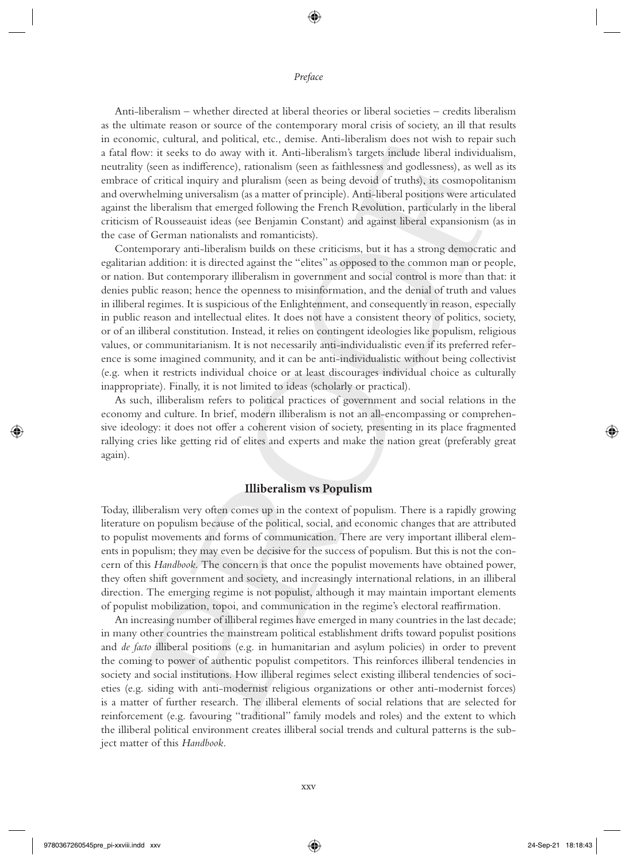### *Preface*

❀

Anti-liberalism – whether directed at liberal theories or liberal societies – credits liberalism as the ultimate reason or source of the contemporary moral crisis of society, an ill that results in economic, cultural, and political, etc., demise. Anti-liberalism does not wish to repair such a fatal flow: it seeks to do away with it. Anti-liberalism's targets include liberal individualism, neutrality (seen as indifference), rationalism (seen as faithlessness and godlessness), as well as its embrace of critical inquiry and pluralism (seen as being devoid of truths), its cosmopolitanism and overwhelming universalism (as a matter of principle). Anti- liberal positions were articulated against the liberalism that emerged following the French Revolution, particularly in the liberal criticism of Rousseauist ideas (see Benjamin Constant) and against liberal expansionism (as in the case of German nationalists and romanticists).

Contemporary anti-liberalism builds on these criticisms, but it has a strong democratic and egalitarian addition: it is directed against the "elites" as opposed to the common man or people, or nation. But contemporary illiberalism in government and social control is more than that: it denies public reason; hence the openness to misinformation, and the denial of truth and values in illiberal regimes. It is suspicious of the Enlightenment, and consequently in reason, especially in public reason and intellectual elites. It does not have a consistent theory of politics, society, or of an illiberal constitution. Instead, it relies on contingent ideologies like populism, religious values, or communitarianism. It is not necessarily anti- individualistic even if its preferred reference is some imagined community, and it can be anti- individualistic without being collectivist (e.g. when it restricts individual choice or at least discourages individual choice as culturally inappropriate). Finally, it is not limited to ideas (scholarly or practical).

As such, illiberalism refers to political practices of government and social relations in the economy and culture. In brief, modern illiberalism is not an all-encompassing or comprehensive ideology: it does not offer a coherent vision of society, presenting in its place fragmented rallying cries like getting rid of elites and experts and make the nation great (preferably great again).

#### **Illiberalism vs Populism**

Today, illiberalism very often comes up in the context of populism. There is a rapidly growing literature on populism because of the political, social, and economic changes that are attributed to populist movements and forms of communication. There are very important illiberal elements in populism; they may even be decisive for the success of populism. But this is not the concern of this *Handbook*. The concern is that once the populist movements have obtained power, they often shift government and society, and increasingly international relations, in an illiberal direction. The emerging regime is not populist, although it may maintain important elements of populist mobilization, topoi, and communication in the regime's electoral reaffirmation.

An increasing number of illiberal regimes have emerged in many countries in the last decade; in many other countries the mainstream political establishment drifts toward populist positions and *de facto* illiberal positions (e.g. in humanitarian and asylum policies) in order to prevent the coming to power of authentic populist competitors. This reinforces illiberal tendencies in society and social institutions. How illiberal regimes select existing illiberal tendencies of societies (e.g. siding with anti- modernist religious organizations or other anti- modernist forces) is a matter of further research. The illiberal elements of social relations that are selected for reinforcement (e.g. favouring "traditional" family models and roles) and the extent to which the illiberal political environment creates illiberal social trends and cultural patterns is the subject matter of this *Handbook* .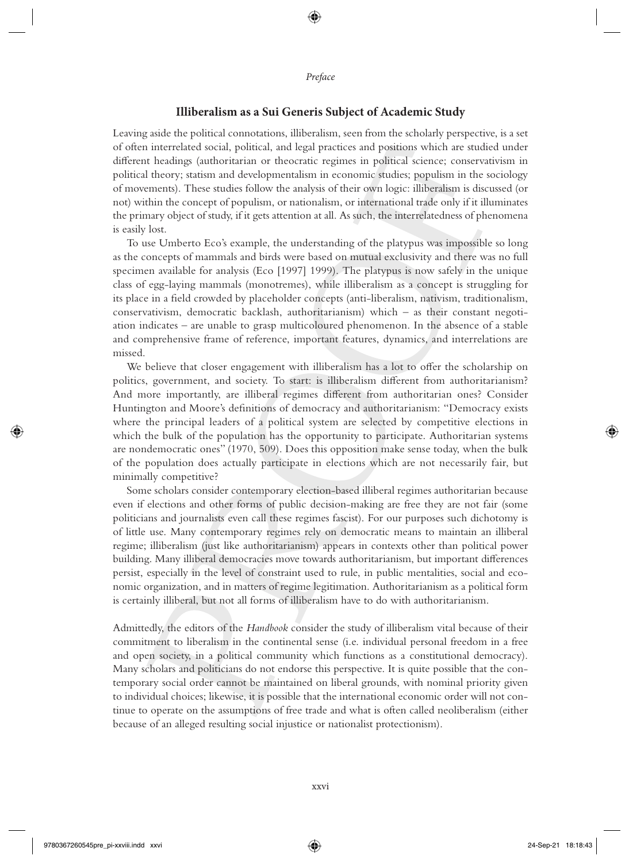#### *Preface*

#### **Illiberalism as a Sui Generis Subject of Academic Study**

Leaving aside the political connotations, illiberalism, seen from the scholarly perspective, is a set of often interrelated social, political, and legal practices and positions which are studied under different headings (authoritarian or theocratic regimes in political science; conservativism in political theory; statism and developmentalism in economic studies; populism in the sociology of movements). These studies follow the analysis of their own logic: illiberalism is discussed (or not) within the concept of populism, or nationalism, or international trade only if it illuminates the primary object of study, if it gets attention at all. As such, the interrelatedness of phenomena is easily lost.

To use Umberto Eco's example, the understanding of the platypus was impossible so long as the concepts of mammals and birds were based on mutual exclusivity and there was no full specimen available for analysis (Eco [1997] 1999). The platypus is now safely in the unique class of egg- laying mammals (monotremes), while illiberalism as a concept is struggling for its place in a field crowded by placeholder concepts (anti-liberalism, nativism, traditionalism,  $conservation,$  democratic backlash, authoritarianism) which  $-$  as their constant negotiation indicates –are unable to grasp multicoloured phenomenon. In the absence of a stable and comprehensive frame of reference, important features, dynamics, and interrelations are missed.

We believe that closer engagement with illiberalism has a lot to offer the scholarship on politics, government, and society. To start: is illiberalism different from authoritarianism? And more importantly, are illiberal regimes different from authoritarian ones? Consider Huntington and Moore's definitions of democracy and authoritarianism: "Democracy exists where the principal leaders of a political system are selected by competitive elections in which the bulk of the population has the opportunity to participate. Authoritarian systems are nondemocratic ones" (1970, 509). Does this opposition make sense today, when the bulk of the population does actually participate in elections which are not necessarily fair, but minimally competitive?

Some scholars consider contemporary election- based illiberal regimes authoritarian because even if elections and other forms of public decision- making are free they are not fair (some politicians and journalists even call these regimes fascist). For our purposes such dichotomy is of little use. Many contemporary regimes rely on democratic means to maintain an illiberal regime; illiberalism (just like authoritarianism) appears in contexts other than political power building. Many illiberal democracies move towards authoritarianism, but important differences persist, especially in the level of constraint used to rule, in public mentalities, social and economic organization, and in matters of regime legitimation. Authoritarianism as a political form is certainly illiberal, but not all forms of illiberalism have to do with authoritarianism.

Admittedly, the editors of the *Handbook* consider the study of illiberalism vital because of their commitment to liberalism in the continental sense (i.e. individual personal freedom in a free and open society, in a political community which functions as a constitutional democracy). Many scholars and politicians do not endorse this perspective. It is quite possible that the contemporary social order cannot be maintained on liberal grounds, with nominal priority given to individual choices; likewise, it is possible that the international economic order will not continue to operate on the assumptions of free trade and what is often called neoliberalism (either because of an alleged resulting social injustice or nationalist protectionism).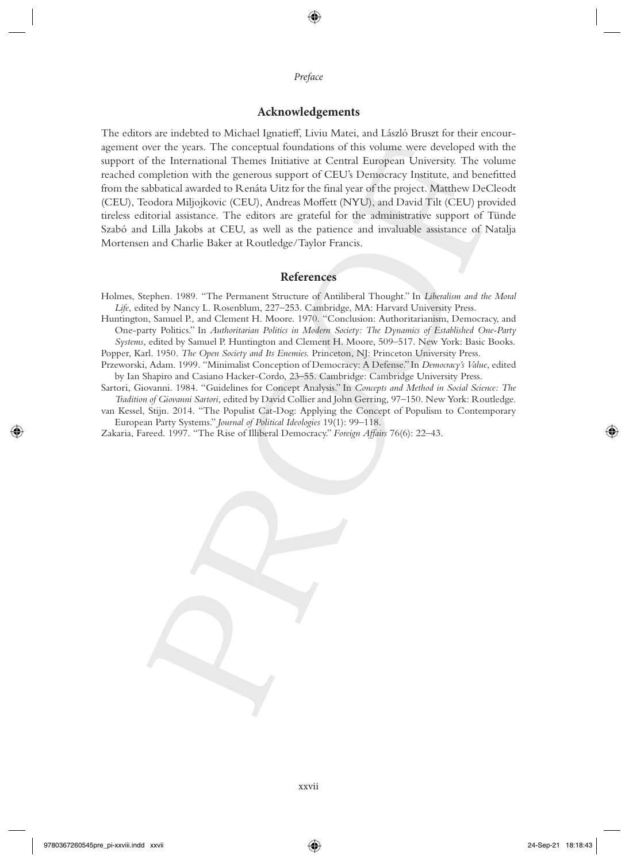#### ◈

#### *Preface*

#### **Acknowledgements**

The editors are indebted to Michael Ignatieff, Liviu Matei, and László Bruszt for their encouragement over the years. The conceptual foundations of this volume were developed with the support of the International Themes Initiative at Central European University. The volume reached completion with the generous support of CEU's Democracy Institute, and benefitted from the sabbatical awarded to Renáta Uitz for the final year of the project. Matthew DeCleodt (CEU), Teodora Miljojkovic (CEU), Andreas Moffett (NYU), and David Tilt (CEU) provided tireless editorial assistance. The editors are grateful for the administrative support of Tünde Szabó and Lilla Jakobs at CEU, as well as the patience and invaluable assistance of Natalja Mortensen and Charlie Baker at Routledge/Taylor Francis.

#### **References**

Holmes, Stephen. 1989. "The Permanent Structure of Antiliberal Thought." In *Liberalism and the Moral* Life, edited by Nancy L. Rosenblum, 227-253. Cambridge, MA: Harvard University Press.

Huntington, Samuel P., and Clement H. Moore. 1970. "Conclusion: Authoritarianism, Democracy, and One- party Politics ." In *Authoritarian Politics in Modern Society: The Dynamics of Established One- Party*  Systems, edited by Samuel P. Huntington and Clement H. Moore, 509–517. New York: Basic Books. Popper, Karl. 1950. *The Open Society and Its Enemies*. Princeton, NJ: Princeton University Press.

Przeworski, Adam. 1999. "Minimalist Conception of Democracy: A Defense." In *Democracy's Value*, edited by Ian Shapiro and Casiano Hacker-Cordo, 23–55. Cambridge: Cambridge University Press.

Sartori, Giovanni. 1984. "Guidelines for Concept Analysis." In Concepts and Method in Social Science: The *Tradition of Giovanni Sartori*, edited by David Collier and John Gerring, 97-150. New York: Routledge.

van Kessel, Stijn. 2014. "The Populist Cat-Dog: Applying the Concept of Populism to Contemporary European Party Systems." *Journal of Political Ideologies* 19(1): 99-118.

Zakaria, Fareed. 1997. "The Rise of Illiberal Democracy." *Foreign Affairs* 76(6): 22–43.

xxvii